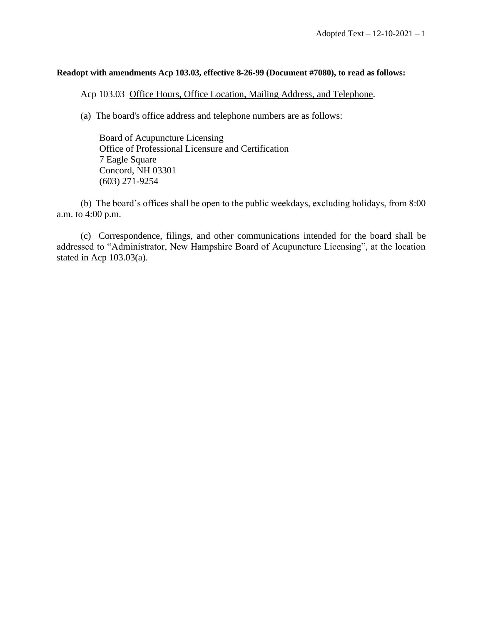## **Readopt with amendments Acp 103.03, effective 8-26-99 (Document #7080), to read as follows:**

Acp 103.03 Office Hours, Office Location, Mailing Address, and Telephone.

(a) The board's office address and telephone numbers are as follows:

Board of Acupuncture Licensing Office of Professional Licensure and Certification 7 Eagle Square Concord, NH 03301 (603) 271-9254

(b) The board's offices shall be open to the public weekdays, excluding holidays, from 8:00 a.m. to 4:00 p.m.

(c) Correspondence, filings, and other communications intended for the board shall be addressed to "Administrator, New Hampshire Board of Acupuncture Licensing", at the location stated in Acp 103.03(a).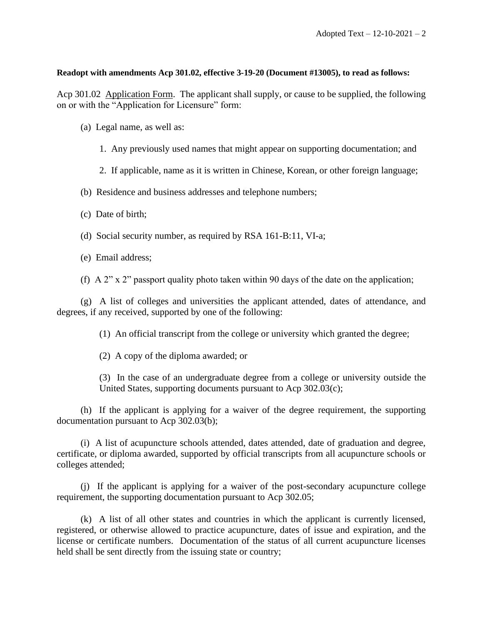## **Readopt with amendments Acp 301.02, effective 3-19-20 (Document #13005), to read as follows:**

Acp 301.02 Application Form. The applicant shall supply, or cause to be supplied, the following on or with the "Application for Licensure" form:

- (a) Legal name, as well as:
	- 1. Any previously used names that might appear on supporting documentation; and
	- 2. If applicable, name as it is written in Chinese, Korean, or other foreign language;
- (b) Residence and business addresses and telephone numbers;
- (c) Date of birth;
- (d) Social security number, as required by RSA 161-B:11, VI-a;
- (e) Email address;
- (f) A  $2$ " x  $2$ " passport quality photo taken within 90 days of the date on the application;

(g) A list of colleges and universities the applicant attended, dates of attendance, and degrees, if any received, supported by one of the following:

- (1) An official transcript from the college or university which granted the degree;
- (2) A copy of the diploma awarded; or

(3) In the case of an undergraduate degree from a college or university outside the United States, supporting documents pursuant to Acp 302.03(c);

(h) If the applicant is applying for a waiver of the degree requirement, the supporting documentation pursuant to Acp 302.03(b);

(i) A list of acupuncture schools attended, dates attended, date of graduation and degree, certificate, or diploma awarded, supported by official transcripts from all acupuncture schools or colleges attended;

(j) If the applicant is applying for a waiver of the post-secondary acupuncture college requirement, the supporting documentation pursuant to Acp 302.05;

(k) A list of all other states and countries in which the applicant is currently licensed, registered, or otherwise allowed to practice acupuncture, dates of issue and expiration, and the license or certificate numbers. Documentation of the status of all current acupuncture licenses held shall be sent directly from the issuing state or country;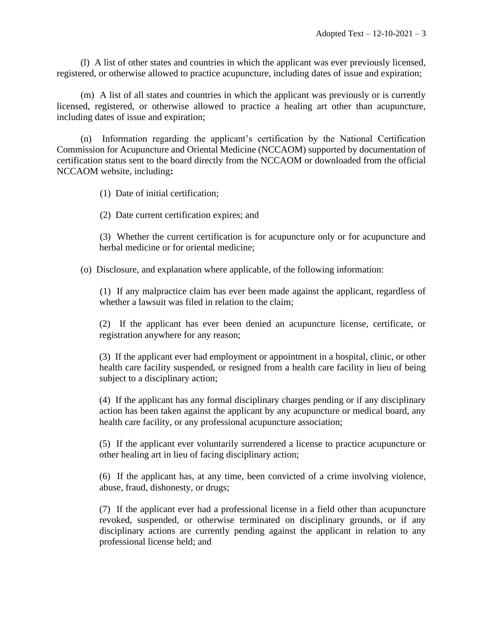(l) A list of other states and countries in which the applicant was ever previously licensed, registered, or otherwise allowed to practice acupuncture, including dates of issue and expiration;

(m) A list of all states and countries in which the applicant was previously or is currently licensed, registered, or otherwise allowed to practice a healing art other than acupuncture, including dates of issue and expiration;

(n) Information regarding the applicant's certification by the National Certification Commission for Acupuncture and Oriental Medicine (NCCAOM) supported by documentation of certification status sent to the board directly from the NCCAOM or downloaded from the official NCCAOM website, including**:**

(1) Date of initial certification;

(2) Date current certification expires; and

(3) Whether the current certification is for acupuncture only or for acupuncture and herbal medicine or for oriental medicine;

(o) Disclosure, and explanation where applicable, of the following information:

(1) If any malpractice claim has ever been made against the applicant, regardless of whether a lawsuit was filed in relation to the claim;

(2) If the applicant has ever been denied an acupuncture license, certificate, or registration anywhere for any reason;

(3) If the applicant ever had employment or appointment in a hospital, clinic, or other health care facility suspended, or resigned from a health care facility in lieu of being subject to a disciplinary action;

(4) If the applicant has any formal disciplinary charges pending or if any disciplinary action has been taken against the applicant by any acupuncture or medical board, any health care facility, or any professional acupuncture association;

(5) If the applicant ever voluntarily surrendered a license to practice acupuncture or other healing art in lieu of facing disciplinary action;

(6) If the applicant has, at any time, been convicted of a crime involving violence, abuse, fraud, dishonesty, or drugs;

(7) If the applicant ever had a professional license in a field other than acupuncture revoked, suspended, or otherwise terminated on disciplinary grounds, or if any disciplinary actions are currently pending against the applicant in relation to any professional license held; and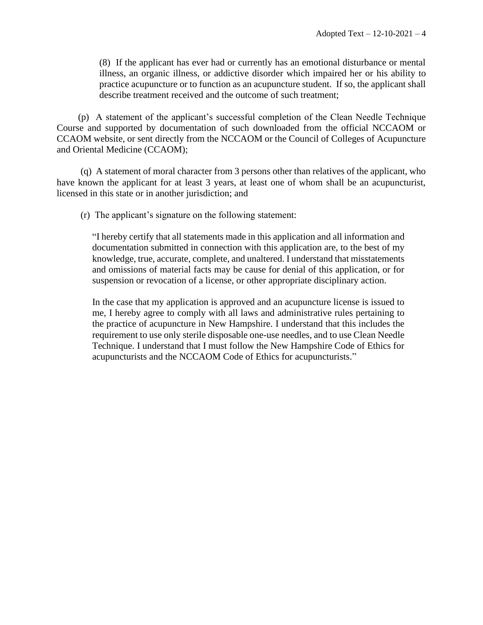(8) If the applicant has ever had or currently has an emotional disturbance or mental illness, an organic illness, or addictive disorder which impaired her or his ability to practice acupuncture or to function as an acupuncture student. If so, the applicant shall describe treatment received and the outcome of such treatment;

(p) A statement of the applicant's successful completion of the Clean Needle Technique Course and supported by documentation of such downloaded from the official NCCAOM or CCAOM website, or sent directly from the NCCAOM or the Council of Colleges of Acupuncture and Oriental Medicine (CCAOM);

(q) A statement of moral character from 3 persons other than relatives of the applicant, who have known the applicant for at least 3 years, at least one of whom shall be an acupuncturist, licensed in this state or in another jurisdiction; and

(r) The applicant's signature on the following statement:

"I hereby certify that all statements made in this application and all information and documentation submitted in connection with this application are, to the best of my knowledge, true, accurate, complete, and unaltered. I understand that misstatements and omissions of material facts may be cause for denial of this application, or for suspension or revocation of a license, or other appropriate disciplinary action.

In the case that my application is approved and an acupuncture license is issued to me, I hereby agree to comply with all laws and administrative rules pertaining to the practice of acupuncture in New Hampshire. I understand that this includes the requirement to use only sterile disposable one-use needles, and to use Clean Needle Technique. I understand that I must follow the New Hampshire Code of Ethics for acupuncturists and the NCCAOM Code of Ethics for acupuncturists."